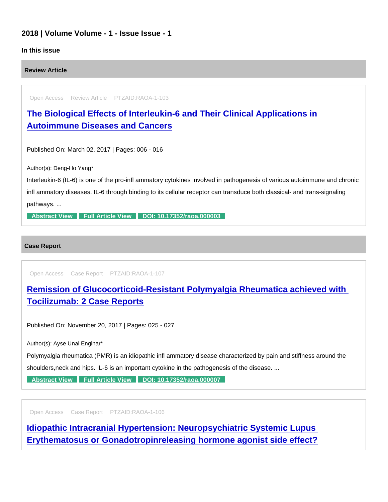## 2018 | Volume Volume - 1 - Issue Issue - 1

## In this issue

Review Article

Open Access Review Article PTZAID:RAOA-1-103

[The Biological Effects of Interleukin-6 and Their Clinical Applications in](https://www.peertechzpublications.com/articles/the-biological-effects-of-interleukin-6-and-their-clinical-applications-in-autoimmune-diseases-and-cancers)  Autoimmune Diseases and Cancers

Published On: March 02, 2017 | Pages: 006 - 016

Author(s): Deng-Ho Yang\*

Interleukin-6 (IL-6) is one of the pro-infl ammatory cytokines involved in pathogenesis of various autoimmune and chronic infl ammatory diseases. IL-6 through binding to its cellular receptor can transduce both classical- and trans-signaling pathways. ...

[Abstract View](https://www.peertechzpublications.com/abstracts/the-biological-effects-of-interleukin-6-and-their-clinical-applications-in-autoimmune-diseases-and-cancers) [Full Article View](https://www.peertechzpublications.com/articles/the-biological-effects-of-interleukin-6-and-their-clinical-applications-in-autoimmune-diseases-and-cancers) [DOI: 10.17352/raoa.000003](http://dx.doi.org/10.17352/raoa.000003)

Case Report

Open Access Case Report PTZAID:RAOA-1-107

[Remission of Glucocorticoid-Resistant Polymyalgia Rheumatica achieved with](https://www.peertechzpublications.com/articles/remission-of-glucocorticoid-resistant-polymyalgia-rheumatica-achieved-with-tocilizumab-2-case-reports)  Tocilizumab: 2 Case Reports

Published On: November 20, 2017 | Pages: 025 - 027

Author(s): Ayse Unal Enginar\*

Polymyalgia rheumatica (PMR) is an idiopathic infl ammatory disease characterized by pain and stiffness around the

shoulders,neck and hips. IL-6 is an important cytokine in the pathogenesis of the disease. ...

[Abstract View](https://www.peertechzpublications.com/abstracts/remission-of-glucocorticoid-resistant-polymyalgia-rheumatica-achieved-with-tocilizumab-2-case-reports) [Full Article View](https://www.peertechzpublications.com/articles/remission-of-glucocorticoid-resistant-polymyalgia-rheumatica-achieved-with-tocilizumab-2-case-reports) [DOI: 10.17352/raoa.000007](http://dx.doi.org/10.17352/raoa.000007)

Open Access Case Report PTZAID:RAOA-1-106

[Idiopathic Intracranial Hypertension: Neuropsychiatric Systemic Lupus](https://www.peertechzpublications.com/articles/idiopathic-intracranial-hypertension-neuropsychiatric-systemic-lupus-erythematosus-or-gonadotropinreleasing-hormone-agonist-side-effect)  Erythematosus or Gonadotropinreleasing hormone agonist side effect?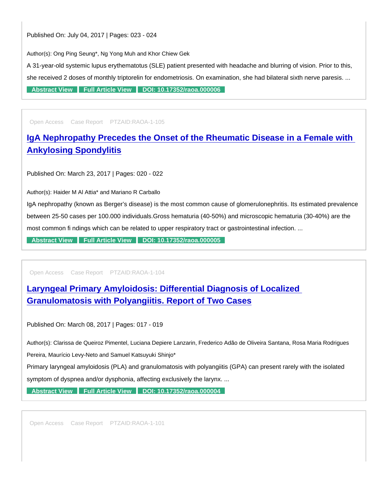Published On: July 04, 2017 | Pages: 023 - 024

Author(s): Ong Ping Seung\*, Ng Yong Muh and Khor Chiew Gek

A 31-year-old systemic lupus erythematotus (SLE) patient presented with headache and blurring of vision. Prior to this, she received 2 doses of monthly triptorelin for endometriosis. On examination, she had bilateral sixth nerve paresis. ... [Abstract View](https://www.peertechzpublications.com/abstracts/idiopathic-intracranial-hypertension-neuropsychiatric-systemic-lupus-erythematosus-or-gonadotropinreleasing-hormone-agonist-side-effect) [Full Article View](https://www.peertechzpublications.com/articles/idiopathic-intracranial-hypertension-neuropsychiatric-systemic-lupus-erythematosus-or-gonadotropinreleasing-hormone-agonist-side-effect) [DOI: 10.17352/raoa.000006](http://dx.doi.org/10.17352/raoa.000006)

Open Access Case Report PTZAID:RAOA-1-105

[IgA Nephropathy Precedes the Onset of the Rheumatic Disease in a Female with](https://www.peertechzpublications.com/articles/iga-nephropathy-precedes-the-onset-of-the-rheumatic-disease-in-a-female-with-ankylosing-spondylitis)  Ankylosing Spondylitis

Published On: March 23, 2017 | Pages: 020 - 022

Author(s): Haider M Al Attia\* and Mariano R Carballo

IgA nephropathy (known as Berger's disease) is the most common cause of glomerulonephritis. Its estimated prevalence between 25-50 cases per 100.000 individuals.Gross hematuria (40-50%) and microscopic hematuria (30-40%) are the most common fi ndings which can be related to upper respiratory tract or gastrointestinal infection. ...

[Abstract View](https://www.peertechzpublications.com/abstracts/iga-nephropathy-precedes-the-onset-of-the-rheumatic-disease-in-a-female-with-ankylosing-spondylitis) [Full Article View](https://www.peertechzpublications.com/articles/iga-nephropathy-precedes-the-onset-of-the-rheumatic-disease-in-a-female-with-ankylosing-spondylitis) [DOI: 10.17352/raoa.000005](http://dx.doi.org/10.17352/raoa.000005)

Open Access Case Report PTZAID:RAOA-1-104

[Laryngeal Primary Amyloidosis: Differential Diagnosis of Localized](https://www.peertechzpublications.com/articles/laryngeal-primary-amyloidosis-differential-diagnosis-of-localized-granulomatosis-with-polyangiitis-report-of-two-cases)  Granulomatosis with Polyangiitis. Report of Two Cases

Published On: March 08, 2017 | Pages: 017 - 019

Author(s): Clarissa de Queiroz Pimentel, Luciana Depiere Lanzarin, Frederico Adão de Oliveira Santana, Rosa Maria Rodrigues

Pereira, Maurício Levy-Neto and Samuel Katsuyuki Shinjo\*

Primary laryngeal amyloidosis (PLA) and granulomatosis with polyangiitis (GPA) can present rarely with the isolated symptom of dyspnea and/or dysphonia, affecting exclusively the larynx. ...

[Abstract View](https://www.peertechzpublications.com/abstracts/laryngeal-primary-amyloidosis-differential-diagnosis-of-localized-granulomatosis-with-polyangiitis-report-of-two-cases) [Full Article View](https://www.peertechzpublications.com/articles/laryngeal-primary-amyloidosis-differential-diagnosis-of-localized-granulomatosis-with-polyangiitis-report-of-two-cases) [DOI: 10.17352/raoa.000004](http://dx.doi.org/10.17352/raoa.000004)

Open Access Case Report PTZAID:RAOA-1-101